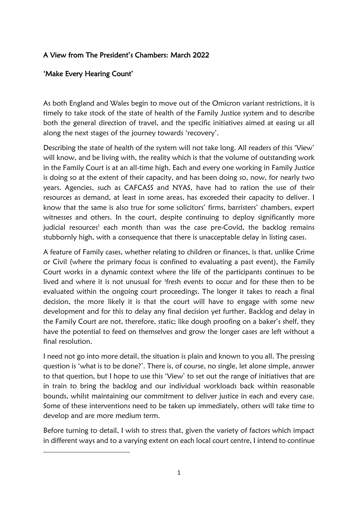## A View from The President's Chambers: March 2022

### 'Make Every Hearing Count'

As both England and Wales begin to move out of the Omicron variant restrictions, it is timely to take stock of the state of health of the Family Justice system and to describe both the general direction of travel, and the specific initiatives aimed at easing us all along the next stages of the journey towards 'recovery'.

Describing the state of health of the system will not take long. All readers of this 'View' will know, and be living with, the reality which is that the volume of outstanding work in the Family Court is at an all-time high. Each and every one working in Family Justice is doing so at the extent of their capacity, and has been doing so, now, for nearly two years. Agencies, such as CAFCASS and NYAS, have had to ration the use of their resources as demand, at least in some areas, has exceeded their capacity to deliver. I know that the same is also true for some solicitors' firms, barristers' chambers, expert witnesses and others. In the court, despite continuing to deploy significantly more judicial resources<sup>1</sup> each month than was the case pre-Covid, the backlog remains stubbornly high, with a consequence that there is unacceptable delay in listing cases.

A feature of Family cases, whether relating to children or finances, is that, unlike Crime or Civil (where the primary focus is confined to evaluating a past event), the Family Court works in a dynamic context where the life of the participants continues to be lived and where it is not unusual for <sup>1</sup>fresh events to occur and for these then to be evaluated within the ongoing court proceedings. The longer it takes to reach a final decision, the more likely it is that the court will have to engage with some new development and for this to delay any final decision yet further. Backlog and delay in the Family Court are not, therefore, static; like dough proofing on a baker's shelf, they have the potential to feed on themselves and grow the longer cases are left without a final resolution.

I need not go into more detail, the situation is plain and known to you all. The pressing question is 'what is to be done?'. There is, of course, no single, let alone simple, answer to that question, but I hope to use this 'View' to set out the range of initiatives that are in train to bring the backlog and our individual workloads back within reasonable bounds, whilst maintaining our commitment to deliver justice in each and every case. Some of these interventions need to be taken up immediately, others will take time to develop and are more medium term.

Before turning to detail, I wish to stress that, given the variety of factors which impact in different ways and to a varying extent on each local court centre, I intend to continue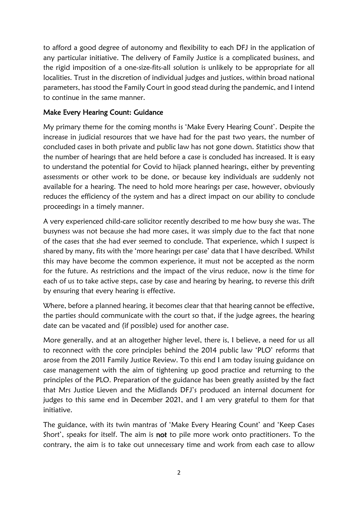to afford a good degree of autonomy and flexibility to each DFJ in the application of any particular initiative. The delivery of Family Justice is a complicated business, and the rigid imposition of a one-size-fits-all solution is unlikely to be appropriate for all localities. Trust in the discretion of individual judges and justices, within broad national parameters, has stood the Family Court in good stead during the pandemic, and I intend to continue in the same manner.

## Make Every Hearing Count: Guidance

My primary theme for the coming months is 'Make Every Hearing Count'. Despite the increase in judicial resources that we have had for the past two years, the number of concluded cases in both private and public law has not gone down. Statistics show that the number of hearings that are held before a case is concluded has increased. It is easy to understand the potential for Covid to hijack planned hearings, either by preventing assessments or other work to be done, or because key individuals are suddenly not available for a hearing. The need to hold more hearings per case, however, obviously reduces the efficiency of the system and has a direct impact on our ability to conclude proceedings in a timely manner.

A very experienced child-care solicitor recently described to me how busy she was. The busyness was not because she had more cases, it was simply due to the fact that none of the cases that she had ever seemed to conclude. That experience, which I suspect is shared by many, fits with the 'more hearings per case' data that I have described. Whilst this may have become the common experience, it must not be accepted as the norm for the future. As restrictions and the impact of the virus reduce, now is the time for each of us to take active steps, case by case and hearing by hearing, to reverse this drift by ensuring that every hearing is effective.

Where, before a planned hearing, it becomes clear that that hearing cannot be effective, the parties should communicate with the court so that, if the judge agrees, the hearing date can be vacated and (if possible) used for another case.

More generally, and at an altogether higher level, there is, I believe, a need for us all to reconnect with the core principles behind the 2014 public law 'PLO' reforms that arose from the 2011 Family Justice Review. To this end I am today issuing guidance on case management with the aim of tightening up good practice and returning to the principles of the PLO. Preparation of the guidance has been greatly assisted by the fact that Mrs Justice Lieven and the Midlands DFJ's produced an internal document for judges to this same end in December 2021, and I am very grateful to them for that initiative.

The guidance, with its twin mantras of 'Make Every Hearing Count' and 'Keep Cases Short', speaks for itself. The aim is not to pile more work onto practitioners. To the contrary, the aim is to take out unnecessary time and work from each case to allow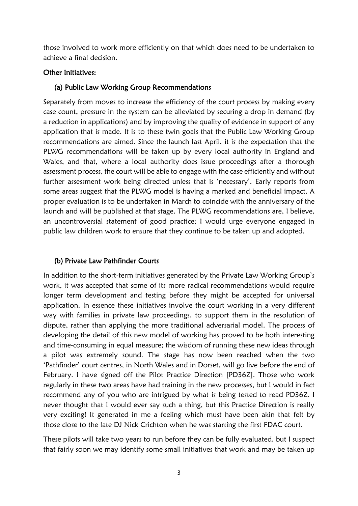those involved to work more efficiently on that which does need to be undertaken to achieve a final decision.

#### Other Initiatives:

#### (a) Public Law Working Group Recommendations

Separately from moves to increase the efficiency of the court process by making every case count, pressure in the system can be alleviated by securing a drop in demand (by a reduction in applications) and by improving the quality of evidence in support of any application that is made. It is to these twin goals that the Public Law Working Group recommendations are aimed. Since the launch last April, it is the expectation that the PLWG recommendations will be taken up by every local authority in England and Wales, and that, where a local authority does issue proceedings after a thorough assessment process, the court will be able to engage with the case efficiently and without further assessment work being directed unless that is 'necessary'. Early reports from some areas suggest that the PLWG model is having a marked and beneficial impact. A proper evaluation is to be undertaken in March to coincide with the anniversary of the launch and will be published at that stage. The PLWG recommendations are, I believe, an uncontroversial statement of good practice; I would urge everyone engaged in public law children work to ensure that they continue to be taken up and adopted.

#### (b) Private Law Pathfinder Courts

In addition to the short-term initiatives generated by the Private Law Working Group's work, it was accepted that some of its more radical recommendations would require longer term development and testing before they might be accepted for universal application. In essence these initiatives involve the court working in a very different way with families in private law proceedings, to support them in the resolution of dispute, rather than applying the more traditional adversarial model. The process of developing the detail of this new model of working has proved to be both interesting and time-consuming in equal measure; the wisdom of running these new ideas through a pilot was extremely sound. The stage has now been reached when the two 'Pathfinder' court centres, in North Wales and in Dorset, will go live before the end of February. I have signed off the Pilot Practice Direction [PD36Z]. Those who work regularly in these two areas have had training in the new processes, but I would in fact recommend any of you who are intrigued by what is being tested to read PD36Z. I never thought that I would ever say such a thing, but this Practice Direction is really very exciting! It generated in me a feeling which must have been akin that felt by those close to the late DJ Nick Crichton when he was starting the first FDAC court.

These pilots will take two years to run before they can be fully evaluated, but I suspect that fairly soon we may identify some small initiatives that work and may be taken up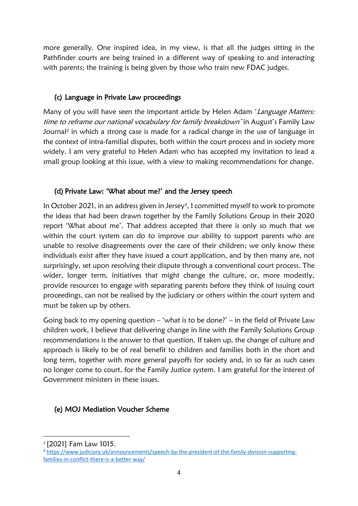more generally. One inspired idea, in my view, is that all the judges sitting in the Pathfinder courts are being trained in a different way of speaking to and interacting with parents; the training is being given by those who train new FDAC judges.

## (c) Language in Private Law proceedings

Many of you will have seen the important article by Helen Adam 'Language Matters: time to reframe our national vocabulary for family breakdown' in August's Family Law Journal<sup>2</sup> in which a strong case is made for a radical change in the use of language in the context of intra-familial disputes, both within the court process and in society more widely. I am very grateful to Helen Adam who has accepted my invitation to lead a small group looking at this issue, with a view to making recommendations for change.

### (d) Private Law: 'What about me?' and the Jersey speech

In October 2021, in an address given in Jersey<sup>3</sup>, I committed myself to work to promote the ideas that had been drawn together by the Family Solutions Group in their 2020 report 'What about me'. That address accepted that there is only so much that we within the court system can do to improve our ability to support parents who are unable to resolve disagreements over the care of their children; we only know these individuals exist after they have issued a court application, and by then many are, not surprisingly, set upon resolving their dispute through a conventional court process. The wider, longer term, initiatives that might change the culture, or, more modestly, provide resources to engage with separating parents before they think of issuing court proceedings, can not be realised by the judiciary or others within the court system and must be taken up by others.

Going back to my opening question – 'what is to be done?' – in the field of Private Law children work, I believe that delivering change in line with the Family Solutions Group recommendations is the answer to that question. If taken up, the change of culture and approach is likely to be of real benefit to children and families both in the short and long term, together with more general payoffs for society and, in so far as such cases no longer come to court, for the Family Justice system. I am grateful for the interest of Government ministers in these issues.

#### (e) MOJ Mediation Voucher Scheme

<sup>2</sup> [2021] Fam Law 1015.

<sup>3</sup> [https://www.judiciary.uk/announcements/speech-by-the-president-of-the-family-division-supporting](https://www.judiciary.uk/announcements/speech-by-the-president-of-the-family-division-supporting-families-in-conflict-there-is-a-better-way/)[families-in-conflict-there-is-a-better-way/](https://www.judiciary.uk/announcements/speech-by-the-president-of-the-family-division-supporting-families-in-conflict-there-is-a-better-way/)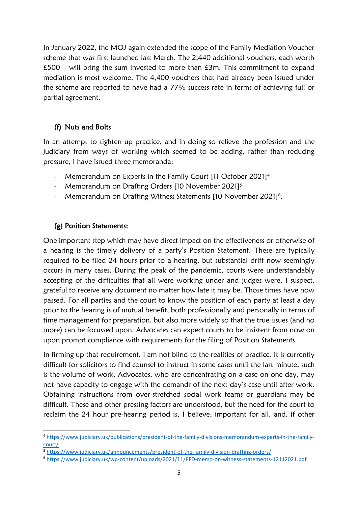In January 2022, the MOJ again extended the scope of the Family Mediation Voucher scheme that was first launched last March. The 2,440 additional vouchers, each worth £500 – will bring the sum invested to more than  $£3m$ . This commitment to expand mediation is most welcome. The 4,400 vouchers that had already been issued under the scheme are reported to have had a 77% success rate in terms of achieving full or partial agreement.

# (f) Nuts and Bolts

In an attempt to tighten up practice, and in doing so relieve the profession and the judiciary from ways of working which seemed to be adding, rather than reducing pressure, I have issued three memoranda:

- Memorandum on Experts in the Family Court [11 October 2021]<sup>4</sup>
- Memorandum on Drafting Orders [10 November 2021]<sup>5</sup>
- Memorandum on Drafting Witness Statements [10 November 2021]<sup>6</sup>.

## (g) Position Statements:

One important step which may have direct impact on the effectiveness or otherwise of a hearing is the timely delivery of a party's Position Statement. These are typically required to be filed 24 hours prior to a hearing, but substantial drift now seemingly occurs in many cases. During the peak of the pandemic, courts were understandably accepting of the difficulties that all were working under and judges were, I suspect, grateful to receive any document no matter how late it may be. Those times have now passed. For all parties and the court to know the position of each party at least a day prior to the hearing is of mutual benefit, both professionally and personally in terms of time management for preparation, but also more widely so that the true issues (and no more) can be focussed upon. Advocates can expect courts to be insistent from now on upon prompt compliance with requirements for the filing of Position Statements.

In firming up that requirement, I am not blind to the realities of practice. It is currently difficult for solicitors to find counsel to instruct in some cases until the last minute, such is the volume of work. Advocates, who are concentrating on a case on one day, may not have capacity to engage with the demands of the next day's case until after work. Obtaining instructions from over-stretched social work teams or guardians may be difficult. These and other pressing factors are understood, but the need for the court to reclaim the 24 hour pre-hearing period is, I believe, important for all, and, if other

<sup>4</sup> [https://www.judiciary.uk/publications/president-of-the-family-divisions-memorandum-experts-in-the-family](https://www.judiciary.uk/publications/president-of-the-family-divisions-memorandum-experts-in-the-family-court/)[court/](https://www.judiciary.uk/publications/president-of-the-family-divisions-memorandum-experts-in-the-family-court/)

<sup>5</sup> <https://www.judiciary.uk/announcements/president-of-the-family-division-drafting-orders/>

<sup>6</sup> <https://www.judiciary.uk/wp-content/uploads/2021/11/PFD-memo-on-witness-statements-12112021.pdf>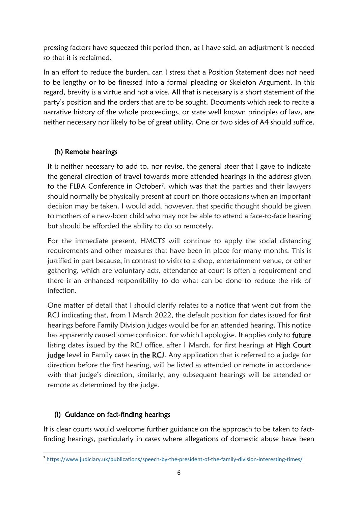pressing factors have squeezed this period then, as I have said, an adjustment is needed so that it is reclaimed.

In an effort to reduce the burden, can I stress that a Position Statement does not need to be lengthy or to be finessed into a formal pleading or Skeleton Argument. In this regard, brevity is a virtue and not a vice. All that is necessary is a short statement of the party's position and the orders that are to be sought. Documents which seek to recite a narrative history of the whole proceedings, or state well known principles of law, are neither necessary nor likely to be of great utility. One or two sides of A4 should suffice.

## (h) Remote hearings

It is neither necessary to add to, nor revise, the general steer that I gave to indicate the general direction of travel towards more attended hearings in the address given to the FLBA Conference in October<sup>7</sup>, which was that the parties and their lawyers should normally be physically present at court on those occasions when an important decision may be taken. I would add, however, that specific thought should be given to mothers of a new-born child who may not be able to attend a face-to-face hearing but should be afforded the ability to do so remotely.

For the immediate present, HMCTS will continue to apply the social distancing requirements and other measures that have been in place for many months. This is justified in part because, in contrast to visits to a shop, entertainment venue, or other gathering, which are voluntary acts, attendance at court is often a requirement and there is an enhanced responsibility to do what can be done to reduce the risk of infection.

One matter of detail that I should clarify relates to a notice that went out from the RCJ indicating that, from 1 March 2022, the default position for dates issued for first hearings before Family Division judges would be for an attended hearing. This notice has apparently caused some confusion, for which I apologise. It applies only to future listing dates issued by the RCJ office, after 1 March, for first hearings at High Court judge level in Family cases in the RCJ. Any application that is referred to a judge for direction before the first hearing, will be listed as attended or remote in accordance with that judge's direction, similarly, any subsequent hearings will be attended or remote as determined by the judge.

## (i) Guidance on fact-finding hearings

It is clear courts would welcome further guidance on the approach to be taken to factfinding hearings, particularly in cases where allegations of domestic abuse have been

<sup>7</sup> <https://www.judiciary.uk/publications/speech-by-the-president-of-the-family-division-interesting-times/>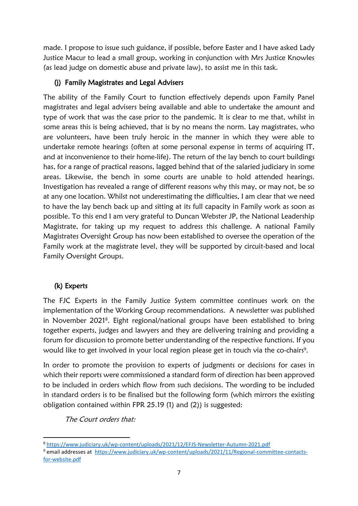made. I propose to issue such guidance, if possible, before Easter and I have asked Lady Justice Macur to lead a small group, working in conjunction with Mrs Justice Knowles (as lead judge on domestic abuse and private law), to assist me in this task.

## (j) Family Magistrates and Legal Advisers

The ability of the Family Court to function effectively depends upon Family Panel magistrates and legal advisers being available and able to undertake the amount and type of work that was the case prior to the pandemic. It is clear to me that, whilst in some areas this is being achieved, that is by no means the norm. Lay magistrates, who are volunteers, have been truly heroic in the manner in which they were able to undertake remote hearings (often at some personal expense in terms of acquiring IT, and at inconvenience to their home-life). The return of the lay bench to court buildings has, for a range of practical reasons, lagged behind that of the salaried judiciary in some areas. Likewise, the bench in some courts are unable to hold attended hearings. Investigation has revealed a range of different reasons why this may, or may not, be so at any one location. Whilst not underestimating the difficulties, I am clear that we need to have the lay bench back up and sitting at its full capacity in Family work as soon as possible. To this end I am very grateful to Duncan Webster JP, the National Leadership Magistrate, for taking up my request to address this challenge. A national Family Magistrates Oversight Group has now been established to oversee the operation of the Family work at the magistrate level, they will be supported by circuit-based and local Family Oversight Groups.

# (k) Experts

The FJC Experts in the Family Justice System committee continues work on the implementation of the Working Group recommendations. A newsletter was published in November 2021<sup>8</sup> . Eight regional/national groups have been established to bring together experts, judges and lawyers and they are delivering training and providing a forum for discussion to promote better understanding of the respective functions. If you would like to get involved in your local region please get in touch via the co-chairs<sup>9</sup>.

In order to promote the provision to experts of judgments or decisions for cases in which their reports were commissioned a standard form of direction has been approved to be included in orders which flow from such decisions. The wording to be included in standard orders is to be finalised but the following form (which mirrors the existing obligation contained within FPR 25.19 (1) and (2)) is suggested:

The Court orders that:

<sup>8</sup> <https://www.judiciary.uk/wp-content/uploads/2021/12/EFJS-Newsletter-Autumn-2021.pdf>

<sup>&</sup>lt;sup>9</sup> email addresses at [https://www.judiciary.uk/wp-content/uploads/2021/11/Regional-committee-contacts](https://eur01.safelinks.protection.outlook.com/?url=https%3A%2F%2Fwww.judiciary.uk%2Fwp-content%2Fuploads%2F2021%2F11%2FRegional-committee-contacts-for-website.pdf&data=04%7C01%7CPresident.FD.Mcfarlane1%40ejudiciary.net%7C1b9e8697cf0e411701a608d9dd06bb30%7C723e45572f1743ed9e71f1beb253e546%7C0%7C0%7C637783843235615669%7CUnknown%7CTWFpbGZsb3d8eyJWIjoiMC4wLjAwMDAiLCJQIjoiV2luMzIiLCJBTiI6Ik1haWwiLCJXVCI6Mn0%3D%7C3000&sdata=Hk9%2FzeM0lMWHPblfWw4saNVRBeQ%2B%2Fk1ChvPRpCnF%2Fys%3D&reserved=0)[for-website.pdf](https://eur01.safelinks.protection.outlook.com/?url=https%3A%2F%2Fwww.judiciary.uk%2Fwp-content%2Fuploads%2F2021%2F11%2FRegional-committee-contacts-for-website.pdf&data=04%7C01%7CPresident.FD.Mcfarlane1%40ejudiciary.net%7C1b9e8697cf0e411701a608d9dd06bb30%7C723e45572f1743ed9e71f1beb253e546%7C0%7C0%7C637783843235615669%7CUnknown%7CTWFpbGZsb3d8eyJWIjoiMC4wLjAwMDAiLCJQIjoiV2luMzIiLCJBTiI6Ik1haWwiLCJXVCI6Mn0%3D%7C3000&sdata=Hk9%2FzeM0lMWHPblfWw4saNVRBeQ%2B%2Fk1ChvPRpCnF%2Fys%3D&reserved=0)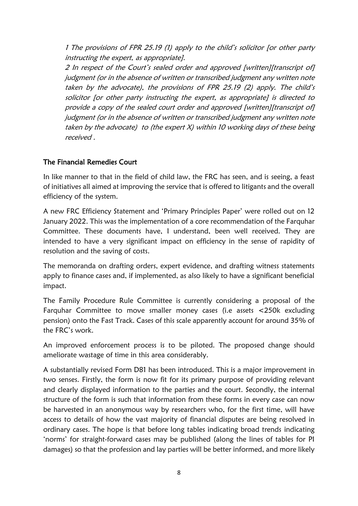1 The provisions of FPR 25.19 (1) apply to the child's solicitor [or other party instructing the expert, as appropriate].

2 In respect of the Court's sealed order and approved [written][transcript of] judgment (or in the absence of written or transcribed judgment any written note taken by the advocate), the provisions of FPR 25.19 (2) apply. The child's solicitor [or other party instructing the expert, as appropriate] is directed to provide a copy of the sealed court order and approved [written][transcript of] judgment (or in the absence of written or transcribed judgment any written note taken by the advocate) to (the expert  $X$ ) within 10 working days of these being received .

#### The Financial Remedies Court

In like manner to that in the field of child law, the FRC has seen, and is seeing, a feast of initiatives all aimed at improving the service that is offered to litigants and the overall efficiency of the system.

A new FRC Efficiency Statement and 'Primary Principles Paper' were rolled out on 12 January 2022. This was the implementation of a core recommendation of the Farquhar Committee. These documents have, I understand, been well received. They are intended to have a very significant impact on efficiency in the sense of rapidity of resolution and the saving of costs.

The memoranda on drafting orders, expert evidence, and drafting witness statements apply to finance cases and, if implemented, as also likely to have a significant beneficial impact.

The Family Procedure Rule Committee is currently considering a proposal of the Farquhar Committee to move smaller money cases (i.e assets <250k excluding pension) onto the Fast Track. Cases of this scale apparently account for around 35% of the FRC's work.

An improved enforcement process is to be piloted. The proposed change should ameliorate wastage of time in this area considerably.

A substantially revised Form D81 has been introduced. This is a major improvement in two senses. Firstly, the form is now fit for its primary purpose of providing relevant and clearly displayed information to the parties and the court. Secondly, the internal structure of the form is such that information from these forms in every case can now be harvested in an anonymous way by researchers who, for the first time, will have access to details of how the vast majority of financial disputes are being resolved in ordinary cases. The hope is that before long tables indicating broad trends indicating 'norms' for straight-forward cases may be published (along the lines of tables for PI damages) so that the profession and lay parties will be better informed, and more likely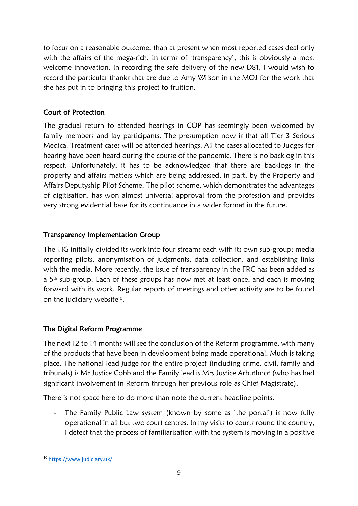to focus on a reasonable outcome, than at present when most reported cases deal only with the affairs of the mega-rich. In terms of 'transparency', this is obviously a most welcome innovation. In recording the safe delivery of the new D81, I would wish to record the particular thanks that are due to Amy Wilson in the MOJ for the work that she has put in to bringing this project to fruition.

# Court of Protection

The gradual return to attended hearings in COP has seemingly been welcomed by family members and lay participants. The presumption now is that all Tier 3 Serious Medical Treatment cases will be attended hearings. All the cases allocated to Judges for hearing have been heard during the course of the pandemic. There is no backlog in this respect. Unfortunately, it has to be acknowledged that there are backlogs in the property and affairs matters which are being addressed, in part, by the Property and Affairs Deputyship Pilot Scheme. The pilot scheme, which demonstrates the advantages of digitisation, has won almost universal approval from the profession and provides very strong evidential base for its continuance in a wider format in the future.

## Transparency Implementation Group

The TIG initially divided its work into four streams each with its own sub-group: media reporting pilots, anonymisation of judgments, data collection, and establishing links with the media. More recently, the issue of transparency in the FRC has been added as a 5<sup>th</sup> sub-group. Each of these groups has now met at least once, and each is moving forward with its work. Regular reports of meetings and other activity are to be found on the judiciary website<sup>10</sup>.

# The Digital Reform Programme

The next 12 to 14 months will see the conclusion of the Reform programme, with many of the products that have been in development being made operational. Much is taking place. The national lead judge for the entire project (including crime, civil, family and tribunals) is Mr Justice Cobb and the Family lead is Mrs Justice Arbuthnot (who has had significant involvement in Reform through her previous role as Chief Magistrate).

There is not space here to do more than note the current headline points.

- The Family Public Law system (known by some as 'the portal') is now fully operational in all but two court centres. In my visits to courts round the country, I detect that the process of familiarisation with the system is moving in a positive

<sup>10</sup> <https://www.judiciary.uk/>